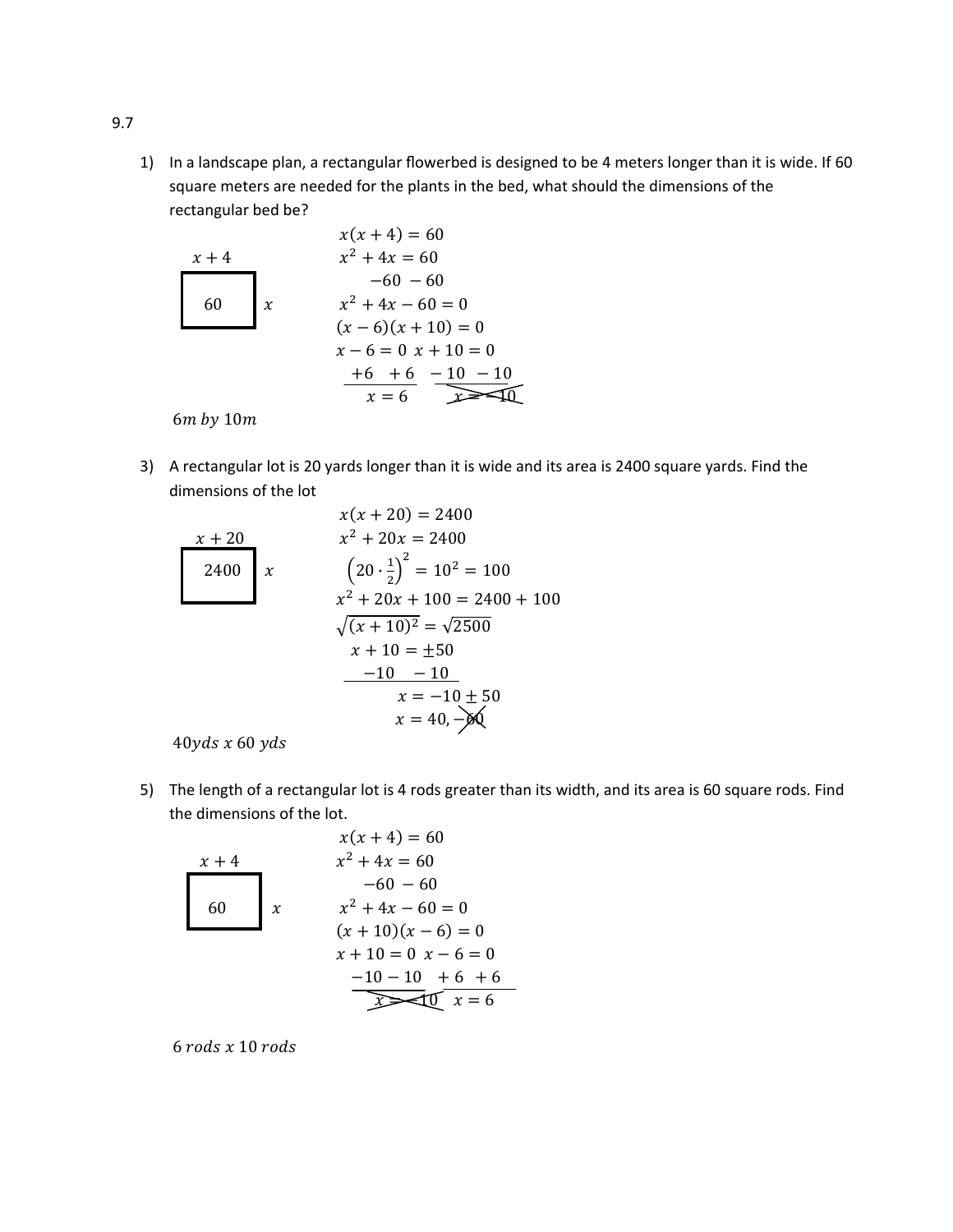1) In a landscape plan, a rectangular flowerbed is designed to be 4 meters longer than it is wide. If 60 square meters are needed for the plants in the bed, what should the dimensions of the rectangular bed be?



 $6m$  by  $10m$ 

3) A rectangular lot is 20 yards longer than it is wide and its area is 2400 square yards. Find the dimensions of the lot

$$
x(x + 20) = 2400
$$
  
\n
$$
x^2 + 20x = 2400
$$
  
\n
$$
2400
$$
  
\n
$$
x^2 + 20x = 100
$$
  
\n
$$
x^2 + 20x + 100 = 2400 + 100
$$
  
\n
$$
\sqrt{(x + 10)^2} = \sqrt{2500}
$$
  
\n
$$
x + 10 = \pm 50
$$
  
\n
$$
x = -10 \pm 50
$$
  
\n
$$
x = 40, -00
$$

 $40yds \times 60yds$ 

5) The length of a rectangular lot is 4 rods greater than its width, and its area is 60 square rods. Find the dimensions of the lot.

| $x + 4$               | $x(x + 4) = 60$ |
|-----------------------|-----------------|
| $x + 4$               | $x^2 + 4x = 60$ |
| $-60 - 60$            |                 |
| $x^2 + 4x - 60 = 0$   |                 |
| $(x + 10)(x - 6) = 0$ |                 |
| $x + 10 = 0$          | $x - 6 = 0$     |
| $-10 - 10 + 6 + 6$    |                 |
| $x = 6$               |                 |

 $6$  rods  $x$  10 rods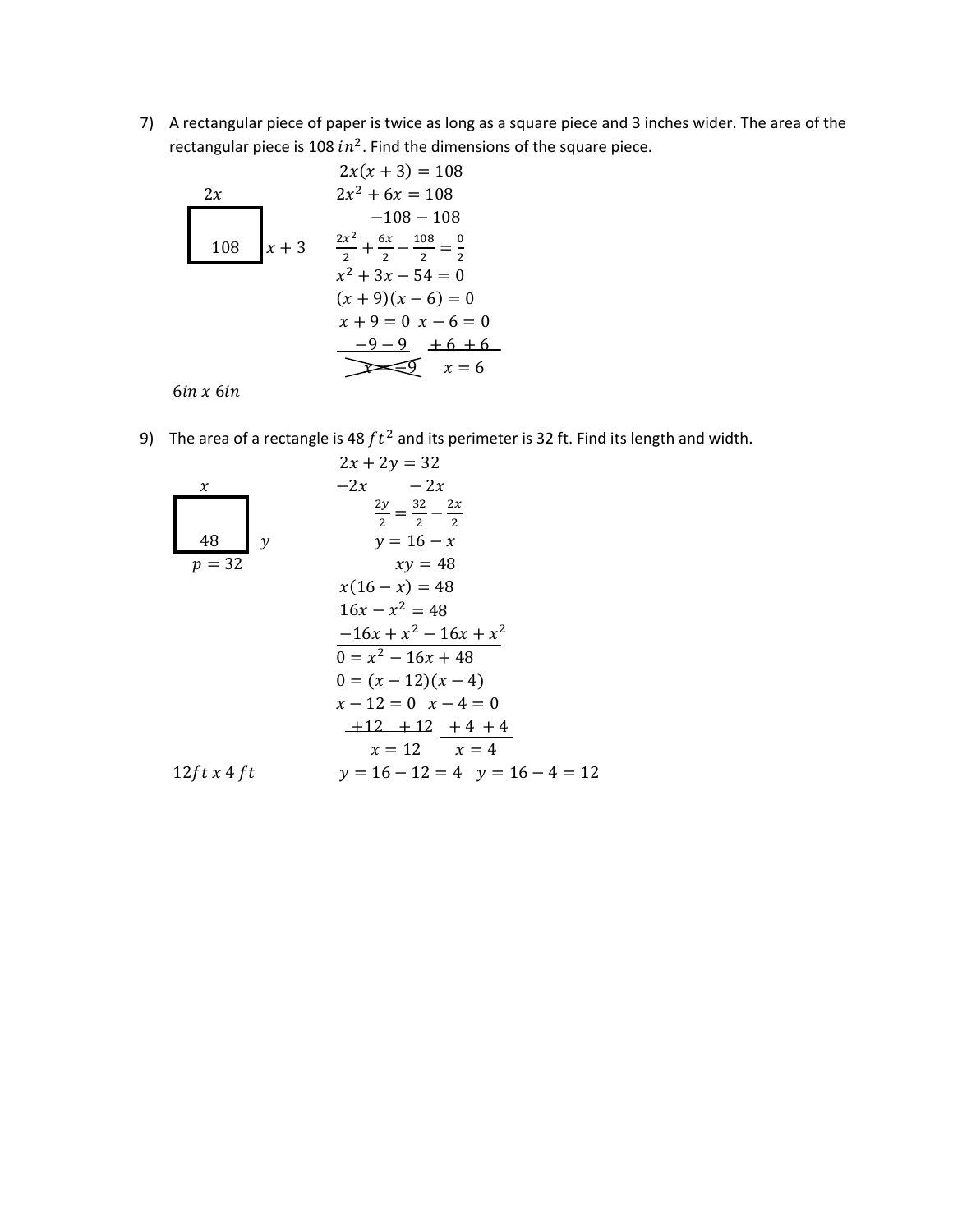7) A rectangular piece of paper is twice as long as a square piece and 3 inches wider. The area of the rectangular piece is 108  $in^2$ . Find the dimensions of the square piece.

2x  
\n2x  
\n2x<sup>2</sup> + 6x = 108  
\n-108 - 108  
\n108  
\n108  
\nx + 3  
\n
$$
\frac{2x^2}{2} + \frac{6x}{2} - \frac{108}{2} = \frac{0}{2}
$$
\n
$$
x^2 + 3x - 54 = 0
$$
\n
$$
(x + 9)(x - 6) = 0
$$
\n
$$
x + 9 = 0 \ x - 6 = 0
$$
\n
$$
\underline{-9 - 9} + 6 + 6
$$
\n
$$
\underline{-2 - 9} = 6
$$
\n
$$
x = 6
$$

 $6$ in x $6$ in

9) The area of a rectangle is 48  $ft^2$  and its perimeter is 32 ft. Find its length and width.

| x                        | $2x + 2y = 32$    |                                              |
|--------------------------|-------------------|----------------------------------------------|
| x                        | $-2x$             | $-2x$                                        |
| 48                       | y                 | $\frac{2y}{2} = \frac{32}{2} - \frac{2x}{2}$ |
| $y = 16 - x$             | $xy = 48$         |                                              |
| $x(16 - x) = 48$         |                   |                                              |
| $16x - x^2 = 48$         |                   |                                              |
| $-16x + x^2 - 16x + x^2$ |                   |                                              |
| $0 = x^2 - 16x + 48$     |                   |                                              |
| $0 = (x - 12)(x - 4)$    |                   |                                              |
| $x - 12 = 0$             | $x - 4 = 0$       |                                              |
| $+12 + 12 + 12 + 4 + 4$  |                   |                                              |
| $x = 12$                 | $x = 4$           |                                              |
| $12f t x 4 f t$          | $y = 16 - 12 = 4$ | $y = 16 - 4 = 12$                            |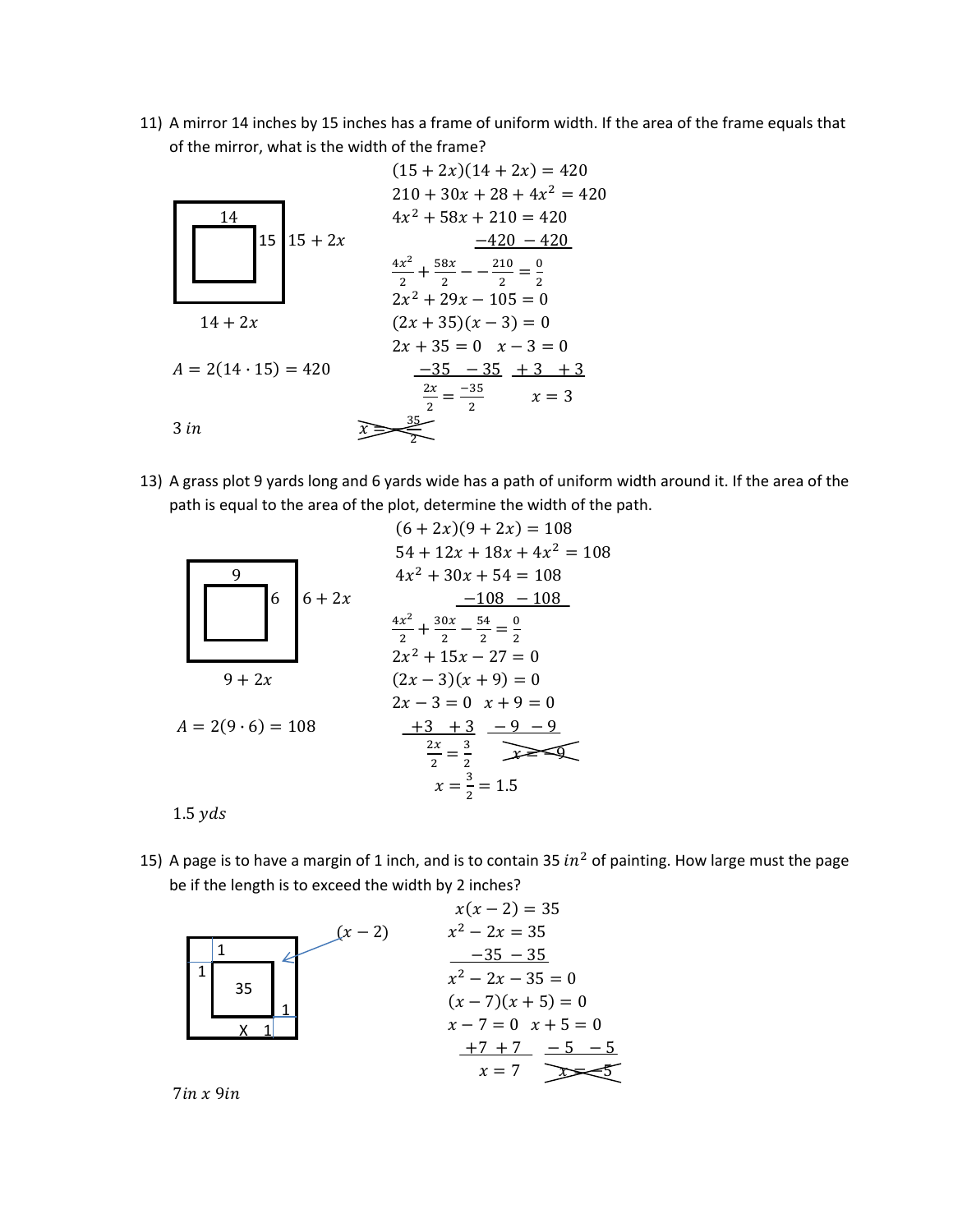11) A mirror 14 inches by 15 inches has a frame of uniform width. If the area of the frame equals that of the mirror, what is the width of the frame?



13) A grass plot 9 yards long and 6 yards wide has a path of uniform width around it. If the area of the path is equal to the area of the plot, determine the width of the path.

|                          | $(6+2x)(9+2x) = 108$                                                                   |
|--------------------------|----------------------------------------------------------------------------------------|
| 9                        | $54 + 12x + 18x + 4x^2 = 108$<br>$4x^2 + 30x + 54 = 108$                               |
| 6<br>$6+2x$              | $-108 - 108$                                                                           |
|                          | $\frac{4x^2}{2} + \frac{30x}{2} - \frac{54}{2} = \frac{0}{2}$<br>$2x^2 + 15x - 27 = 0$ |
| $9 + 2x$                 | $(2x-3)(x+9)=0$                                                                        |
|                          | $2x - 3 = 0$ $x + 9 = 0$                                                               |
| $A = 2(9 \cdot 6) = 108$ | $+3$ + 3 $-9$ - 9                                                                      |
|                          | $\frac{2x}{2} = \frac{3}{2}$                                                           |
|                          | $x=\frac{3}{2}=1.5$                                                                    |
| 1.5 yds                  |                                                                                        |

15) A page is to have a margin of 1 inch, and is to contain 35  $in^2$  of painting. How large must the page be if the length is to exceed the width by 2 inches?



 $7in x 9in$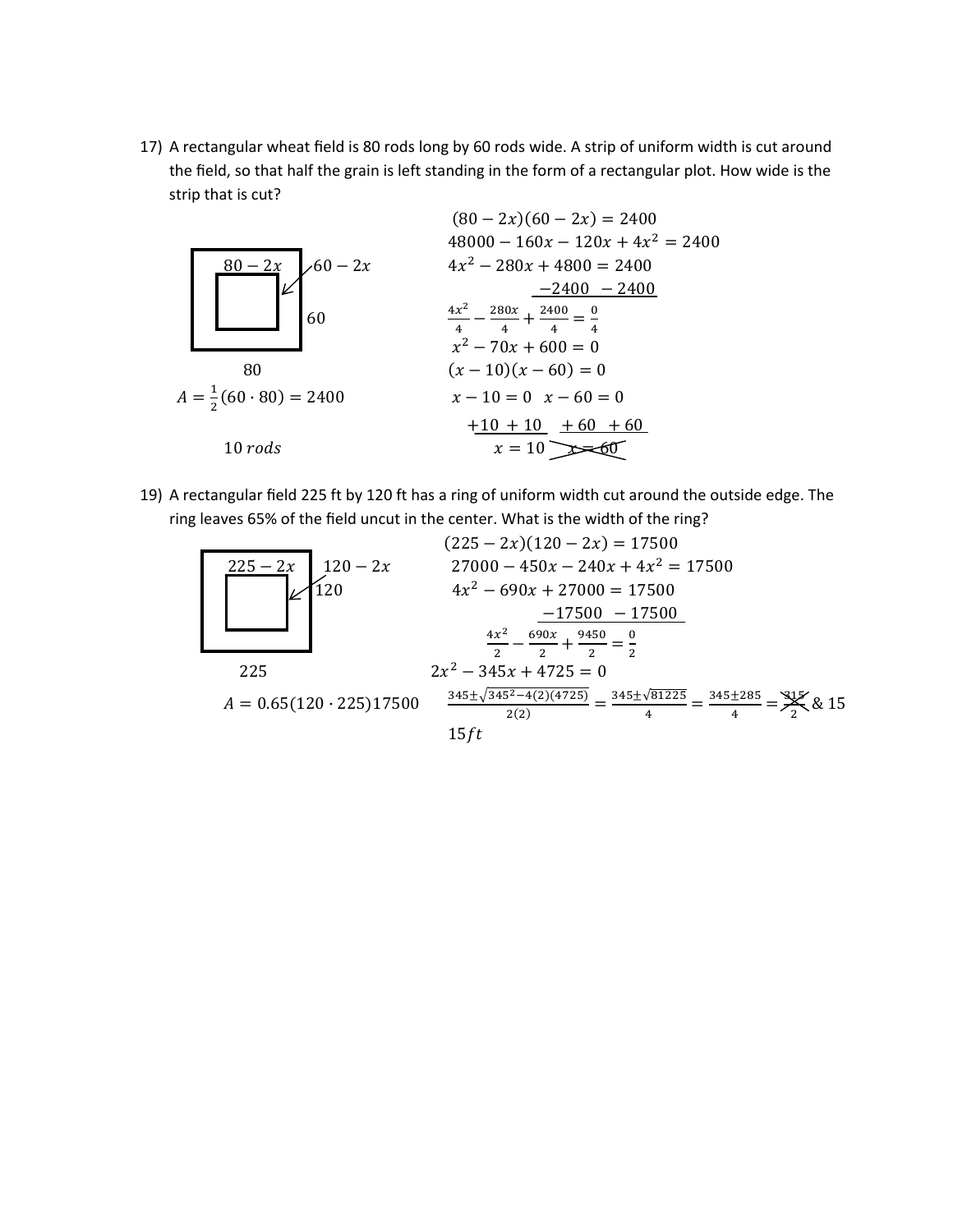17) A rectangular wheat field is 80 rods long by 60 rods wide. A strip of uniform width is cut around the field, so that half the grain is left standing in the form of a rectangular plot. How wide is the strip that is cut?



19) A rectangular field 225 ft by 120 ft has a ring of uniform width cut around the outside edge. The ring leaves 65% of the field uncut in the center. What is the width of the ring?

$$
(225 - 2x)(120 - 2x) = 17500
$$
  
\n
$$
225 - 2x
$$
  
\n
$$
120 - 2x
$$
  
\n
$$
27000 - 450x - 240x + 4x^{2} = 17500
$$
  
\n
$$
4x^{2} - 690x + 27000 = 17500
$$
  
\n
$$
-17500 - 17500
$$
  
\n
$$
\frac{4x^{2}}{2} - \frac{690x}{2} + \frac{9450}{2} = \frac{0}{2}
$$
  
\n
$$
225
$$
  
\n
$$
2x^{2} - 345x + 4725 = 0
$$
  
\n
$$
A = 0.65(120 \cdot 225)17500
$$
  
\n
$$
\frac{345 \pm \sqrt{345^{2} - 4(2)(4725)}}{2(2)} = \frac{345 \pm \sqrt{81225}}{4} = \frac{345 \pm 285}{4} = \frac{315}{2} \& 15
$$
  
\n15 ft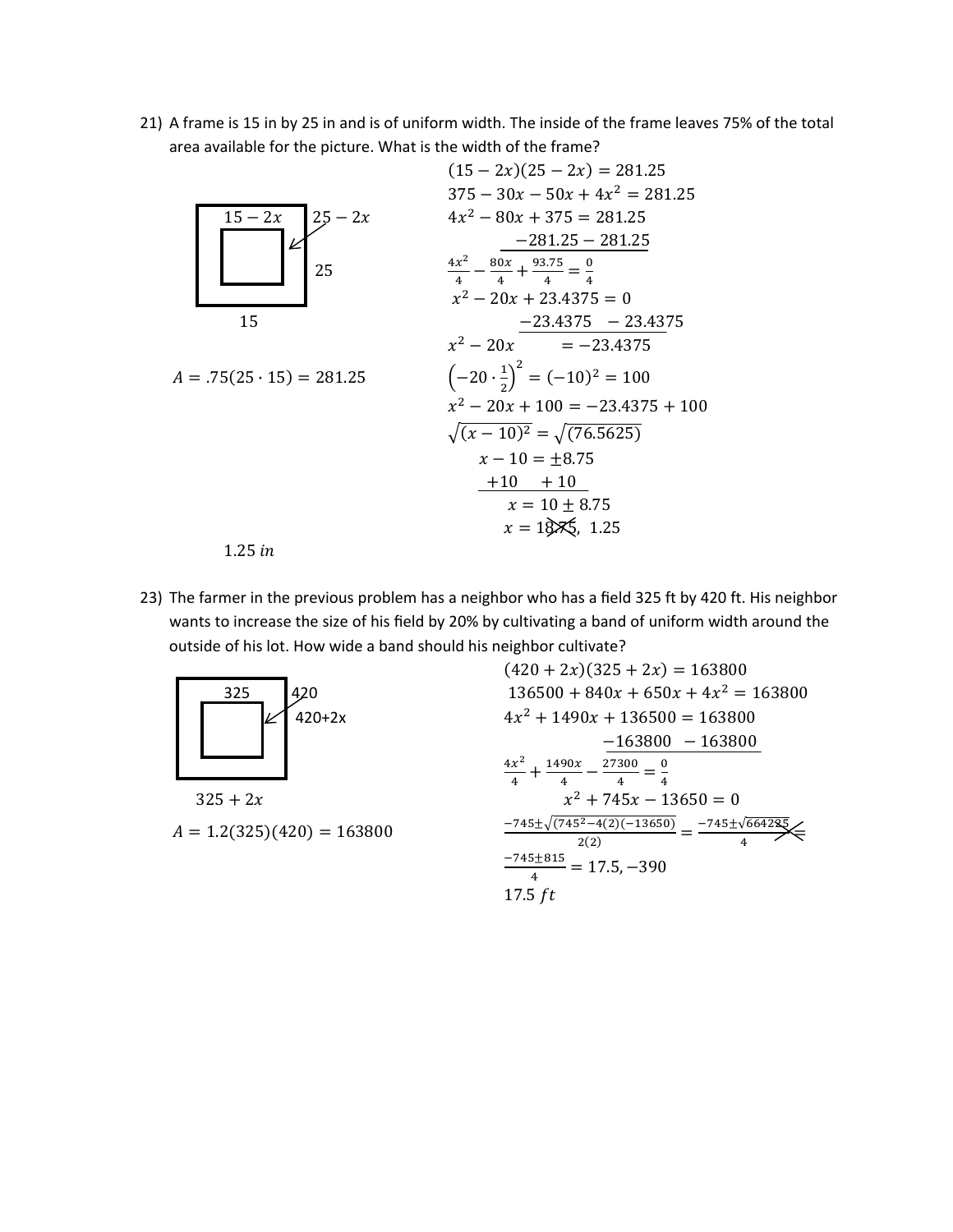21) A frame is 15 in by 25 in and is of uniform width. The inside of the frame leaves 75% of the total area available for the picture. What is the width of the frame?



23) The farmer in the previous problem has a neighbor who has a field 325 ft by 420 ft. His neighbor wants to increase the size of his field by 20% by cultivating a band of uniform width around the outside of his lot. How wide a band should his neighbor cultivate?



 $325 + 2x$  $A = 1.2(325)(420) = 163800$ 

$$
(420 + 2x)(325 + 2x) = 163800
$$
  
\n
$$
136500 + 840x + 650x + 4x^2 = 163800
$$
  
\n
$$
4x^2 + 1490x + 136500 = 163800
$$
  
\n
$$
\frac{-163800 - 163800}{4} = \frac{163800}{4}
$$
  
\n
$$
\frac{x^2 + 745x - 13650}{4} = 0
$$
  
\n
$$
\frac{-745 \pm \sqrt{(745^2 - 4(2)(-13650))}}{2(2)} = \frac{-745 \pm \sqrt{664235}}{4}
$$
  
\n
$$
\frac{-745 \pm 815}{4} = 17.5, -390
$$
  
\n
$$
17.5 \text{ ft}
$$